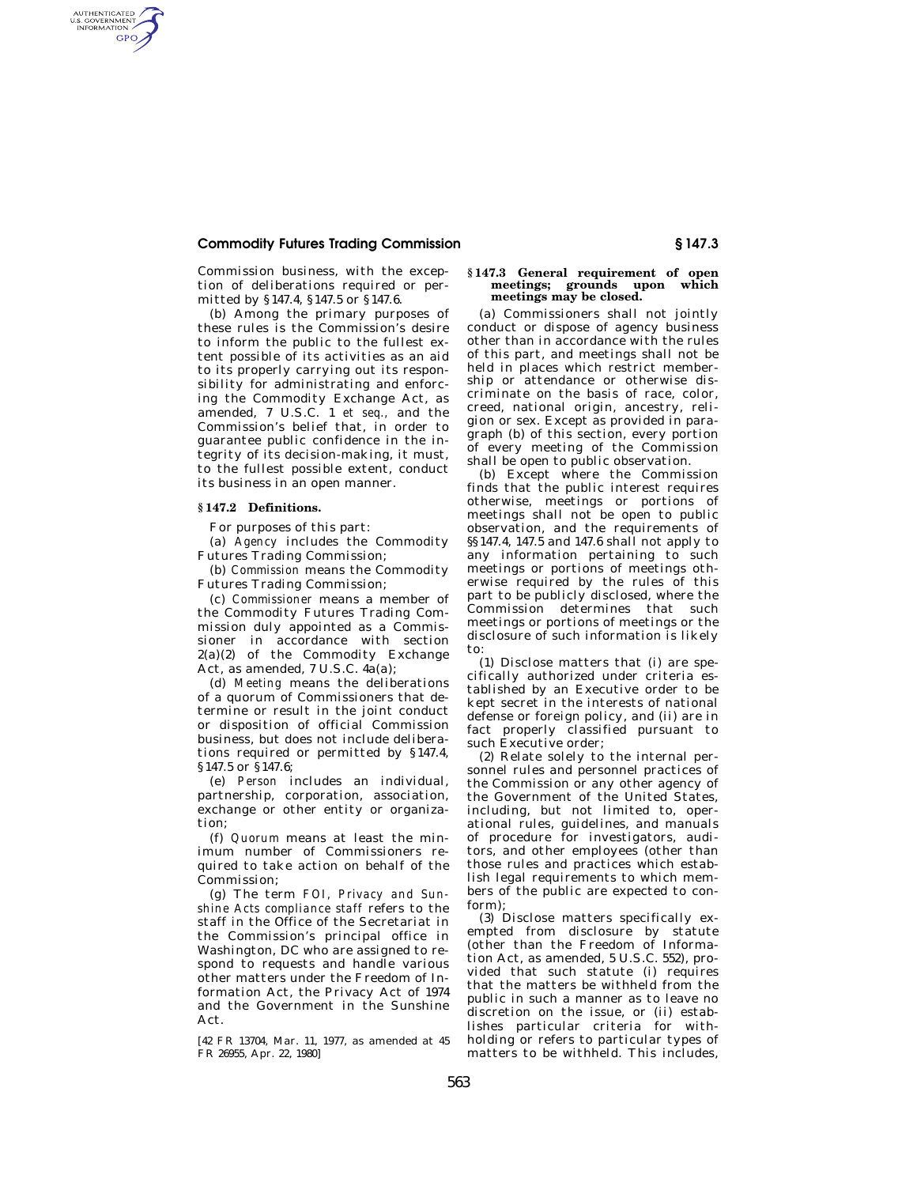# **Commodity Futures Trading Commission § 147.3**

Commission business, with the exception of deliberations required or permitted by §147.4, §147.5 or §147.6.

(b) Among the primary purposes of these rules is the Commission's desire to inform the public to the fullest extent possible of its activities as an aid to its properly carrying out its responsibility for administrating and enforcing the Commodity Exchange Act, as amended, 7 U.S.C. 1 *et seq.,* and the Commission's belief that, in order to guarantee public confidence in the integrity of its decision-making, it must, to the fullest possible extent, conduct its business in an open manner.

## **§ 147.2 Definitions.**

AUTHENTICATED<br>U.S. GOVERNMENT<br>INFORMATION GPO

For purposes of this part:

(a) *Agency* includes the Commodity Futures Trading Commission;

(b) *Commission* means the Commodity Futures Trading Commission;

(c) *Commissioner* means a member of the Commodity Futures Trading Commission duly appointed as a Commissioner in accordance with section  $2(a)(2)$  of the Commodity Exchange Act, as amended, 7 U.S.C. 4a(a);

(d) *Meeting* means the deliberations of a quorum of Commissioners that determine or result in the joint conduct or disposition of official Commission business, but does not include deliberations required or permitted by §147.4, §147.5 or §147.6;

(e) *Person* includes an individual, partnership, corporation, association, exchange or other entity or organization;

(f) *Quorum* means at least the minimum number of Commissioners required to take action on behalf of the Commission;

(g) The term *FOI, Privacy and Sunshine Acts compliance staff* refers to the staff in the Office of the Secretariat in the Commission's principal office in Washington, DC who are assigned to respond to requests and handle various other matters under the Freedom of Information Act, the Privacy Act of 1974 and the Government in the Sunshine Act.

[42 FR 13704, Mar. 11, 1977, as amended at 45 FR 26955, Apr. 22, 1980]

### **§ 147.3 General requirement of open meetings; grounds upon which meetings may be closed.**

(a) Commissioners shall not jointly conduct or dispose of agency business other than in accordance with the rules of this part, and meetings shall not be held in places which restrict membership or attendance or otherwise discriminate on the basis of race, color, creed, national origin, ancestry, religion or sex. Except as provided in paragraph (b) of this section, every portion of every meeting of the Commission shall be open to public observation.

(b) Except where the Commission finds that the public interest requires otherwise, meetings or portions of meetings shall not be open to public observation, and the requirements of §§147.4, 147.5 and 147.6 shall not apply to any information pertaining to such meetings or portions of meetings otherwise required by the rules of this part to be publicly disclosed, where the Commission determines that such meetings or portions of meetings or the disclosure of such information is likely to:

(1) Disclose matters that (i) are specifically authorized under criteria established by an Executive order to be kept secret in the interests of national defense or foreign policy, and (ii) are in fact properly classified pursuant to such Executive order;

(2) Relate solely to the internal personnel rules and personnel practices of the Commission or any other agency of the Government of the United States, including, but not limited to, operational rules, guidelines, and manuals of procedure for investigators, auditors, and other employees (other than those rules and practices which establish legal requirements to which members of the public are expected to conform);

(3) Disclose matters specifically exempted from disclosure by statute (other than the Freedom of Information Act, as amended, 5 U.S.C. 552), provided that such statute (i) requires that the matters be withheld from the public in such a manner as to leave no discretion on the issue, or (ii) establishes particular criteria for withholding or refers to particular types of matters to be withheld. This includes,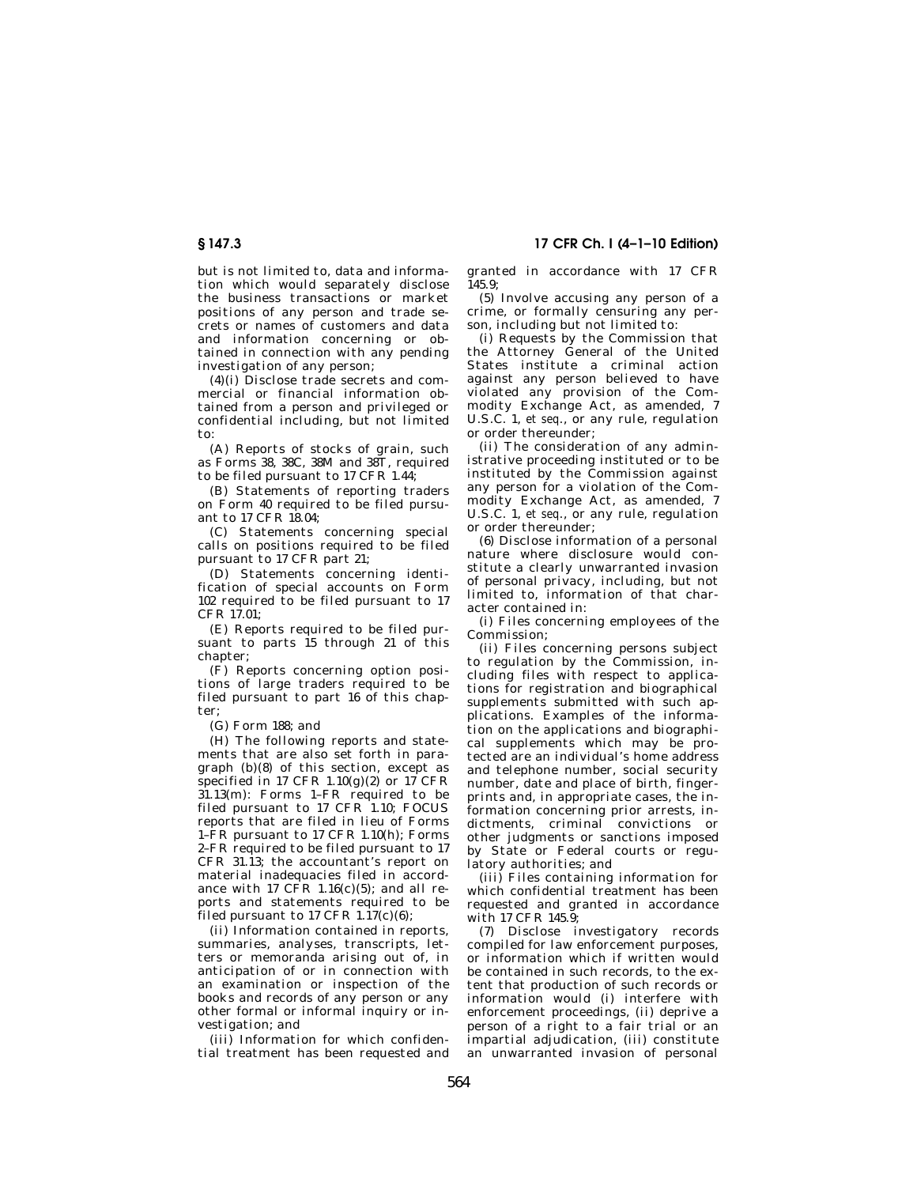but is not limited to, data and information which would separately disclose the business transactions or market positions of any person and trade secrets or names of customers and data and information concerning or obtained in connection with any pending investigation of any person;

(4)(i) Disclose trade secrets and commercial or financial information obtained from a person and privileged or confidential including, but not limited to:

(A) Reports of stocks of grain, such as Forms 38, 38C, 38M and 38T, required to be filed pursuant to 17 CFR 1.44;

(B) Statements of reporting traders on Form 40 required to be filed pursuant to 17 CFR 18.04;

(C) Statements concerning special calls on positions required to be filed pursuant to 17 CFR part 21;

(D) Statements concerning identification of special accounts on Form 102 required to be filed pursuant to 17 CFR 17.01;

(E) Reports required to be filed pursuant to parts 15 through 21 of this chapter;

(F) Reports concerning option positions of large traders required to be filed pursuant to part 16 of this chapter;

(G) Form 188; and

(H) The following reports and statements that are also set forth in paragraph (b)(8) of this section, except as specified in 17 CFR  $1.10(g)(2)$  or 17 CFR 31.13(m): Forms 1–FR required to be filed pursuant to 17 CFR 1.10; FOCUS reports that are filed in lieu of Forms 1–FR pursuant to 17 CFR 1.10(h); Forms 2–FR required to be filed pursuant to 17 CFR 31.13; the accountant's report on material inadequacies filed in accordance with 17 CFR 1.16(c)(5); and all reports and statements required to be filed pursuant to 17 CFR  $1.17(c)(6)$ ;

(ii) Information contained in reports, summaries, analyses, transcripts, letters or memoranda arising out of, in anticipation of or in connection with an examination or inspection of the books and records of any person or any other formal or informal inquiry or investigation; and

(iii) Information for which confidential treatment has been requested and granted in accordance with 17 CFR  $145.9$ 

(5) Involve accusing any person of a crime, or formally censuring any person, including but not limited to:

(i) Requests by the Commission that the Attorney General of the United States institute a criminal action against any person believed to have violated any provision of the Commodity Exchange Act, as amended, 7 U.S.C. 1, *et seq*., or any rule, regulation or order thereunder;

(ii) The consideration of any administrative proceeding instituted or to be instituted by the Commission against any person for a violation of the Commodity Exchange Act, as amended, 7 U.S.C. 1, *et seq*., or any rule, regulation or order thereunder;

(6) Disclose information of a personal nature where disclosure would constitute a clearly unwarranted invasion of personal privacy, including, but not limited to, information of that character contained in:

(i) Files concerning employees of the Commission;

(ii) Files concerning persons subject to regulation by the Commission, including files with respect to applications for registration and biographical supplements submitted with such applications. Examples of the information on the applications and biographical supplements which may be protected are an individual's home address and telephone number, social security number, date and place of birth, fingerprints and, in appropriate cases, the information concerning prior arrests, indictments, criminal convictions or other judgments or sanctions imposed by State or Federal courts or regulatory authorities; and

(iii) Files containing information for which confidential treatment has been requested and granted in accordance with 17 CFR 145.9:

(7) Disclose investigatory records compiled for law enforcement purposes, or information which if written would be contained in such records, to the extent that production of such records or information would (i) interfere with enforcement proceedings, (ii) deprive a person of a right to a fair trial or an impartial adjudication, (iii) constitute an unwarranted invasion of personal